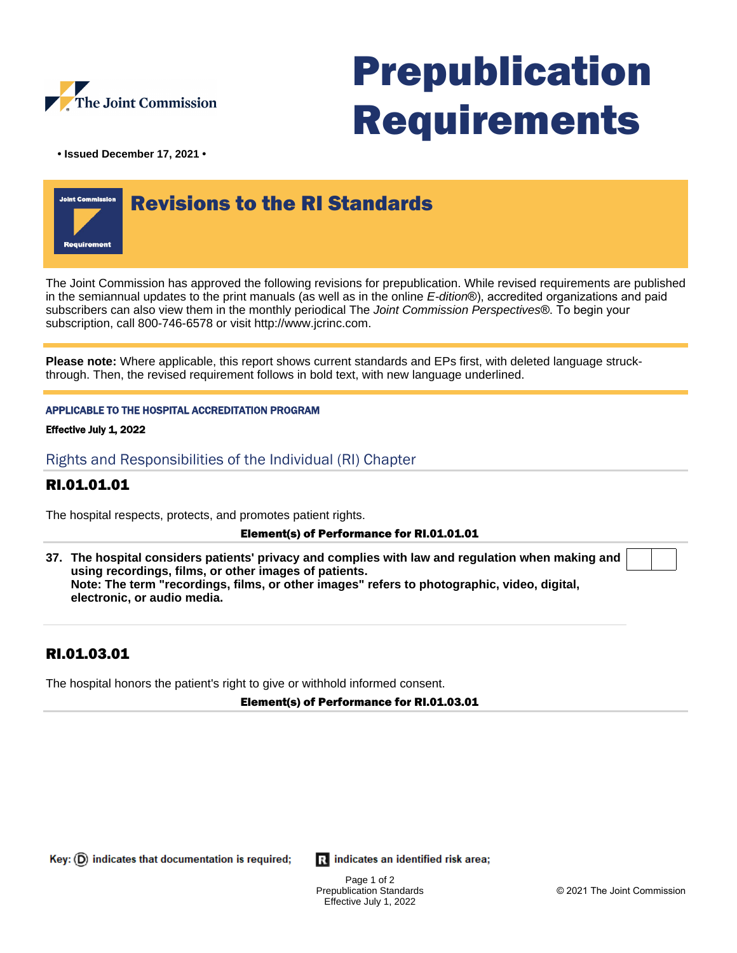

# Prepublication Requirements

**• Issued December 17, 2021 •**



The Joint Commission has approved the following revisions for prepublication. While revised requirements are published in the semiannual updates to the print manuals (as well as in the online E-dition®), accredited organizations and paid subscribers can also view them in the monthly periodical The Joint Commission Perspectives®. To begin your subscription, call 800-746-6578 or visit http://www.jcrinc.com.

**Please note:** Where applicable, this report shows current standards and EPs first, with deleted language struckthrough. Then, the revised requirement follows in bold text, with new language underlined.

### APPLICABLE TO THE HOSPITAL ACCREDITATION PROGRAM

Effective July 1, 2022

Rights and Responsibilities of the Individual (RI) Chapter

## RI.01.01.01

The hospital respects, protects, and promotes patient rights.

#### Element(s) of Performance for RI.01.01.01

**37. The hospital considers patients' privacy and complies with law and regulation when making and using recordings, films, or other images of patients. Note: The term "recordings, films, or other images" refers to photographic, video, digital, electronic, or audio media.**

## RI.01.03.01

The hospital honors the patient's right to give or withhold informed consent.

Element(s) of Performance for RI.01.03.01

Key:  $(D)$  indicates that documentation is required;

**R** indicates an identified risk area;

Page 1 of 2 Prepublication Standards Effective July 1, 2022